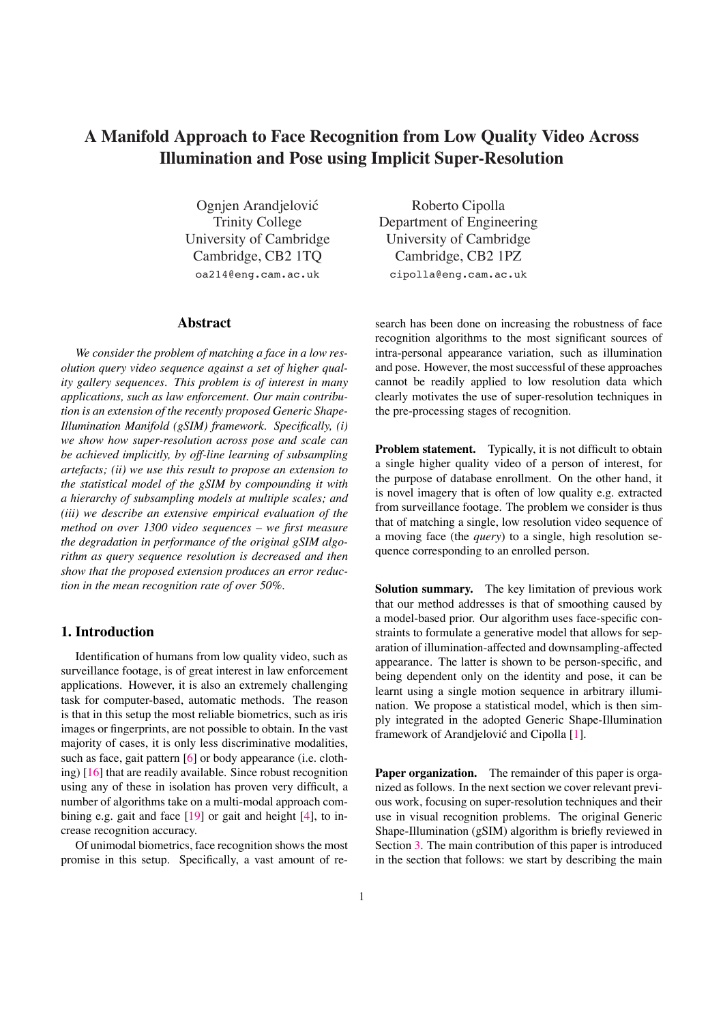# <span id="page-0-0"></span>**A Manifold Approach to Face Recognition from Low Quality Video Across Illumination and Pose using Implicit Super-Resolution**

Ognjen Arandjelovic´ Trinity College University of Cambridge Cambridge, CB2 1TQ oa214@eng.cam.ac.uk

## **Abstract**

*We consider the problem of matching a face in a low resolution query video sequence against a set of higher quality gallery sequences. This problem is of interest in many applications, such as law enforcement. Our main contribution is an extension of the recently proposed Generic Shape-Illumination Manifold (gSIM) framework. Specifically, (i) we show how super-resolution across pose and scale can be achieved implicitly, by off-line learning of subsampling artefacts; (ii) we use this result to propose an extension to the statistical model of the gSIM by compounding it with a hierarchy of subsampling models at multiple scales; and (iii) we describe an extensive empirical evaluation of the method on over 1300 video sequences – we first measure the degradation in performance of the original gSIM algorithm as query sequence resolution is decreased and then show that the proposed extension produces an error reduction in the mean recognition rate of over 50%.*

# **1. Introduction**

Identification of humans from low quality video, such as surveillance footage, is of great interest in law enforcement applications. However, it is also an extremely challenging task for computer-based, automatic methods. The reason is that in this setup the most reliable biometrics, such as iris images or fingerprints, are not possible to obtain. In the vast majority of cases, it is only less discriminative modalities, such as face, gait pattern [\[6\]](#page-6-0) or body appearance (i.e. clothing) [\[16\]](#page-7-0) that are readily available. Since robust recognition using any of these in isolation has proven very difficult, a number of algorithms take on a multi-modal approach com-bining e.g. gait and face [\[19\]](#page-7-1) or gait and height [\[4\]](#page-6-1), to increase recognition accuracy.

Of unimodal biometrics, face recognition showsthe most promise in this setup. Specifically, a vast amount of re-

Roberto Cipolla Department of Engineering University of Cambridge Cambridge, CB2 1PZ cipolla@eng.cam.ac.uk

search has been done on increasing the robustness of face recognition algorithms to the most significant sources of intra-personal appearance variation, such as illumination and pose. However, the most successful of these approaches cannot be readily applied to low resolution data which clearly motivates the use of super-resolution techniques in the pre-processing stages of recognition.

**Problem statement.** Typically, it is not difficult to obtain a single higher quality video of a person of interest, for the purpose of database enrollment. On the other hand, it is novel imagery that is often of low quality e.g. extracted from surveillance footage. The problem we consider is thus that of matching a single, low resolution video sequence of a moving face (the *query*) to a single, high resolution sequence corresponding to an enrolled person.

**Solution summary.** The key limitation of previous work that our method addresses is that of smoothing caused by a model-based prior. Our algorithm uses face-specific constraints to formulate a generative model that allows for separation of illumination-affected and downsampling-affected appearance. The latter is shown to be person-specific, and being dependent only on the identity and pose, it can be learnt using a single motion sequence in arbitrary illumination. We propose a statistical model, which is then simply integrated in the adopted Generic Shape-Illumination framework of Arandjelović and Cipolla [\[1\]](#page-6-2).

**Paper organization.** The remainder of this paper is organized as follows. In the next section we cover relevant previous work, focusing on super-resolution techniques and their use in visual recognition problems. The original Generic Shape-Illumination (gSIM) algorithm is briefly reviewed in Section [3.](#page-1-0) The main contribution of this paper is introduced in the section that follows: we start by describing the main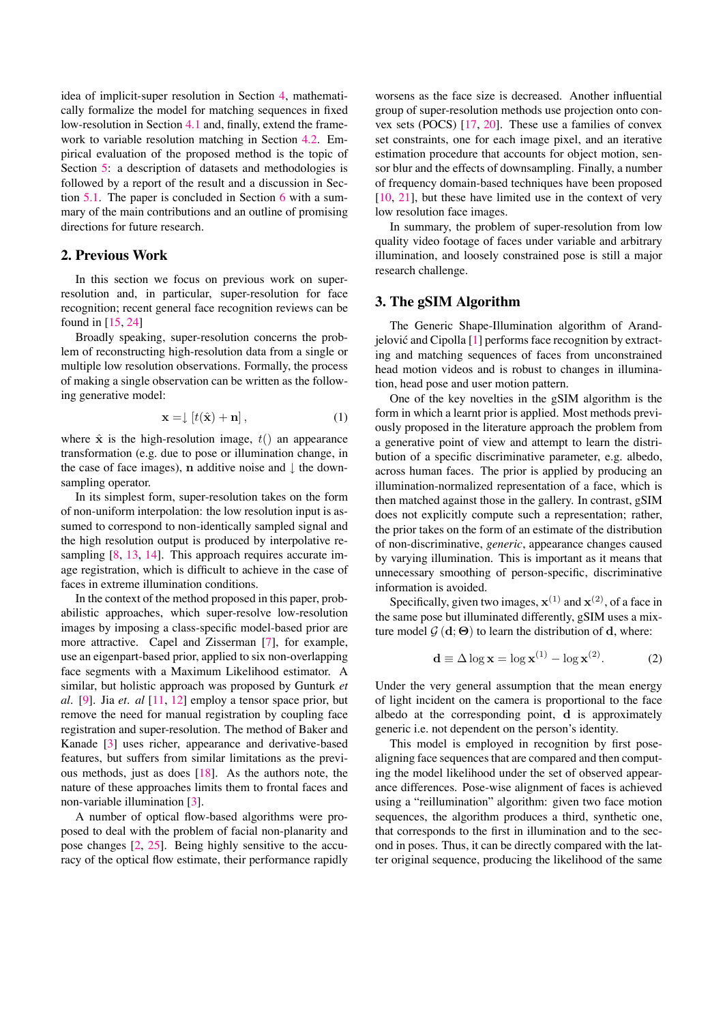<span id="page-1-3"></span>idea of implicit-super resolution in Section [4,](#page-2-0) mathematically formalize the model for matching sequences in fixed low-resolution in Section [4.1](#page-2-1) and, finally, extend the framework to variable resolution matching in Section [4.2.](#page-4-0) Empirical evaluation of the proposed method is the topic of Section [5:](#page-4-1) a description of datasets and methodologies is followed by a report of the result and a discussion in Section [5.1.](#page-5-0) The paper is concluded in Section [6](#page-5-1) with a summary of the main contributions and an outline of promising directions for future research.

## <span id="page-1-1"></span>**2. Previous Work**

<span id="page-1-0"></span>In this section we focus on previous work on superresolution and, in particular, super-resolution for face recognition; recent general face recognition reviews can be found in [\[15,](#page-6-3) [24\]](#page-7-2)

Broadly speaking, super-resolution concerns the problem of reconstructing high-resolution data from a single or multiple low resolution observations. Formally, the process of making a single observation can be written as the following generative model:

$$
\mathbf{x} = \downarrow [t(\hat{\mathbf{x}}) + \mathbf{n}], \tag{1}
$$

where  $\hat{x}$  is the high-resolution image,  $t()$  an appearance transformation (e.g. due to pose or illumination change, in the case of face images), n additive noise and  $\downarrow$  the downsampling operator.

In its simplest form, super-resolution takes on the form of non-uniform interpolation: the low resolution input is assumed to correspond to non-identically sampled signal and the high resolution output is produced by interpolative re-sampling [\[8,](#page-6-4) [13,](#page-6-5) [14\]](#page-6-6). This approach requires accurate image registration, which is difficult to achieve in the case of faces in extreme illumination conditions.

<span id="page-1-2"></span>In the context of the method proposed in this paper, probabilistic approaches, which super-resolve low-resolution images by imposing a class-specific model-based prior are more attractive. Capel and Zisserman [\[7\]](#page-6-7), for example, use an eigenpart-based prior, applied to six non-overlapping face segments with a Maximum Likelihood estimator. A similar, but holistic approach was proposed by Gunturk *et al.* [\[9\]](#page-6-8). Jia *et. al* [\[11,](#page-6-9) [12\]](#page-6-10) employ a tensor space prior, but remove the need for manual registration by coupling face registration and super-resolution. The method of Baker and Kanade [\[3\]](#page-6-11) uses richer, appearance and derivative-based features, but suffers from similar limitations as the previous methods, just as does [\[18\]](#page-7-3). As the authors note, the nature of these approaches limits them to frontal faces and non-variable illumination [\[3\]](#page-6-11).

A number of optical flow-based algorithms were proposed to deal with the problem of facial non-planarity and pose changes [\[2,](#page-6-12) [25\]](#page-7-4). Being highly sensitive to the accuracy of the optical flow estimate, their performance rapidly worsens as the face size is decreased. Another influential group of super-resolution methods use projection onto convex sets (POCS) [\[17,](#page-7-5) [20\]](#page-7-6). These use a families of convex set constraints, one for each image pixel, and an iterative estimation procedure that accounts for object motion, sensor blur and the effects of downsampling. Finally, a number of frequency domain-based techniques have been proposed [\[10,](#page-6-13) [21\]](#page-7-7), but these have limited use in the context of very low resolution face images.

In summary, the problem of super-resolution from low quality video footage of faces under variable and arbitrary illumination, and loosely constrained pose is still a major research challenge.

# **3. The gSIM Algorithm**

The Generic Shape-Illumination algorithm of Arandjelović and Cipolla  $[1]$  performs face recognition by extracting and matching sequences of faces from unconstrained head motion videos and is robust to changes in illumination, head pose and user motion pattern.

One of the key novelties in the gSIM algorithm is the form in which a learnt prior is applied. Most methods previously proposed in the literature approach the problem from a generative point of view and attempt to learn the distribution of a specific discriminative parameter, e.g. albedo, across human faces. The prior is applied by producing an illumination-normalized representation of a face, which is then matched against those in the gallery. In contrast, gSIM does not explicitly compute such a representation; rather, the prior takes on the form of an estimate of the distribution of non-discriminative, *generic*, appearance changes caused by varying illumination. This is important as it means that unnecessary smoothing of person-specific, discriminative information is avoided.

Specifically, given two images,  $\mathbf{x}^{(1)}$  and  $\mathbf{x}^{(2)}$ , of a face in the same pose but illuminated differently, gSIM uses a mixture model  $\mathcal{G}(\mathbf{d};\Theta)$  to learn the distribution of d, where:

$$
\mathbf{d} \equiv \Delta \log \mathbf{x} = \log \mathbf{x}^{(1)} - \log \mathbf{x}^{(2)}.
$$
 (2)

Under the very general assumption that the mean energy of light incident on the camera is proportional to the face albedo at the corresponding point, d is approximately generic i.e. not dependent on the person's identity.

This model is employed in recognition by first posealigning face sequences that are compared and then computing the model likelihood under the set of observed appearance differences. Pose-wise alignment of faces is achieved using a "reillumination" algorithm: given two face motion sequences, the algorithm produces a third, synthetic one, that corresponds to the first in illumination and to the second in poses. Thus, it can be directly compared with the latter original sequence, producing the likelihood of the same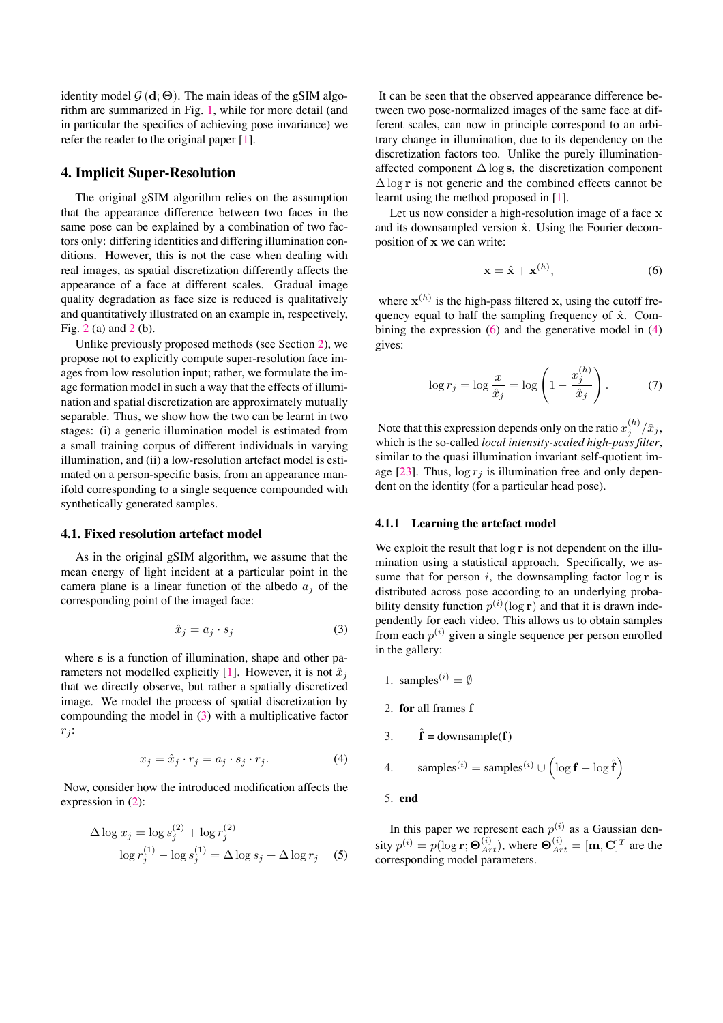<span id="page-2-4"></span>identity model  $\mathcal{G}(\mathbf{d};\Theta)$ . The main ideas of the gSIM algorithm are summarized in Fig. [1,](#page-3-0) while for more detail (and in particular the specifics of achieving pose invariance) we refer the reader to the original paper [\[1\]](#page-6-2).

## <span id="page-2-0"></span>**4. Implicit Super-Resolution**

The original gSIM algorithm relies on the assumption that the appearance difference between two faces in the same pose can be explained by a combination of two factors only: differing identities and differing illumination conditions. However, this is not the case when dealing with real images, as spatial discretization differently affects the appearance of a face at different scales. Gradual image quality degradation as face size is reduced is qualitatively and quantitatively illustrated on an example in, respectively, Fig. [2](#page-3-1) (a) and [2](#page-3-1) (b).

Unlike previously proposed methods (see Section [2\)](#page-1-1), we propose not to explicitly compute super-resolution face images from low resolution input; rather, we formulate the image formation model in such a way that the effects of illumination and spatial discretization are approximately mutually separable. Thus, we show how the two can be learnt in two stages: (i) a generic illumination model is estimated from a small training corpus of different individuals in varying illumination, and (ii) a low-resolution artefact model is estimated on a person-specific basis, from an appearance manifold corresponding to a single sequence compounded with synthetically generated samples.

#### <span id="page-2-1"></span>**4.1. Fixed resolution artefact model**

As in the original gSIM algorithm, we assume that the mean energy of light incident at a particular point in the camera plane is a linear function of the albedo a*<sup>j</sup>* of the corresponding point of the imaged face:

$$
\hat{x}_j = a_j \cdot s_j \tag{3}
$$

<span id="page-2-3"></span>where s is a function of illumination, shape and other pa-rameters not modelled explicitly [\[1\]](#page-6-2). However, it is not  $\hat{x}_i$ that we directly observe, but rather a spatially discretized image. We model the process of spatial discretization by compounding the model in (3) with a multiplicative factor  $r_j$ :

$$
x_j = \hat{x}_j \cdot r_j = a_j \cdot s_j \cdot r_j. \tag{4}
$$

<span id="page-2-2"></span>Now, consider how the introduced modification affects the expression in [\(2\)](#page-1-2):

$$
\Delta \log x_j = \log s_j^{(2)} + \log r_j^{(2)} - \log r_j^{(1)} - \log s_j^{(1)} = \Delta \log s_j + \Delta \log r_j \quad (5)
$$

It can be seen that the observed appearance difference between two pose-normalized images of the same face at different scales, can now in principle correspond to an arbitrary change in illumination, due to its dependency on the discretization factors too. Unlike the purely illuminationaffected component  $\Delta \log s$ , the discretization component  $\Delta \log r$  is not generic and the combined effects cannot be learnt using the method proposed in [\[1\]](#page-6-2).

Let us now consider a high-resolution image of a face  $x$ and its downsampled version  $\hat{x}$ . Using the Fourier decomposition of x we can write:

$$
\mathbf{x} = \hat{\mathbf{x}} + \mathbf{x}^{(h)},\tag{6}
$$

where  $\mathbf{x}^{(h)}$  is the high-pass filtered x, using the cutoff frequency equal to half the sampling frequency of  $\hat{x}$ . Combining the expression  $(6)$  and the generative model in  $(4)$ gives:

$$
\log r_j = \log \frac{x}{\hat{x}_j} = \log \left( 1 - \frac{x_j^{(h)}}{\hat{x}_j} \right). \tag{7}
$$

Note that this expression depends only on the ratio  $x_j^{(h)}/\hat{x}_j$ , which is the so-called *local intensity-scaled high-pass filter*, similar to the quasi illumination invariant self-quotient im-age [\[23\]](#page-7-8). Thus,  $\log r_i$  is illumination free and only dependent on the identity (for a particular head pose).

#### **4.1.1 Learning the artefact model**

We exploit the result that  $\log r$  is not dependent on the illumination using a statistical approach. Specifically, we assume that for person  $i$ , the downsampling factor  $\log r$  is distributed across pose according to an underlying probability density function  $p^{(i)}(\log r)$  and that it is drawn independently for each video. This allows us to obtain samples from each  $p^{(i)}$  given a single sequence per person enrolled in the gallery:

- 1. samples<sup> $(i) = \emptyset$ </sup>
- 2. **for** all frames f
- 3.  $\hat{\mathbf{f}} = \text{downsample}(\mathbf{f})$

4. samples<sup>(i)</sup> = samples<sup>(i)</sup> 
$$
\cup
$$
  $\left(\log \mathbf{f} - \log \hat{\mathbf{f}}\right)$ 

5. **end**

In this paper we represent each  $p^{(i)}$  as a Gaussian density  $p^{(i)} = p(\log \mathbf{r}; \mathbf{\Theta}_{Art}^{(i)})$ , where  $\mathbf{\Theta}_{Art}^{(i)} = [\mathbf{m}, \mathbf{C}]^T$  are the corresponding model parameters.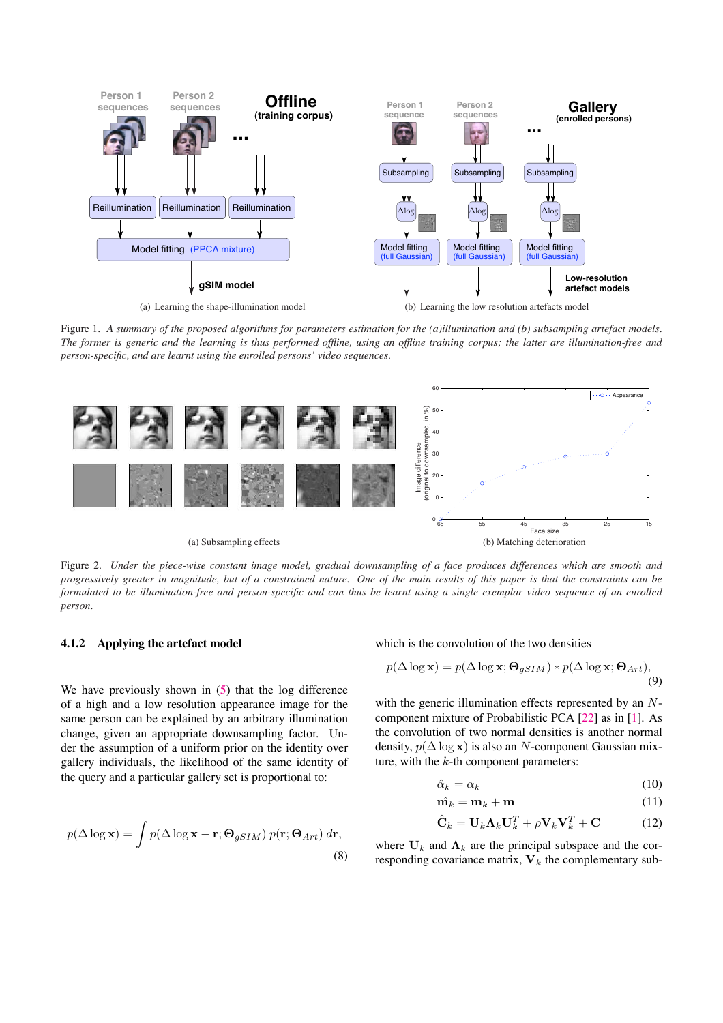<span id="page-3-3"></span>

(a) Learning the shape-illumination model



<span id="page-3-0"></span>Figure 1. A summary of the proposed algorithms for parameters estimation for the (a)illumination and (b) subsampling artefact models. The former is generic and the learning is thus performed offline, using an offline training corpus; the latter are illumination-free and *person-specific, and are learnt using the enrolled persons' video sequences.*



<span id="page-3-1"></span>Figure 2. Under the piece-wise constant image model, gradual downsampling of a face produces differences which are smooth and progressively greater in magnitude, but of a constrained nature. One of the main results of this paper is that the constraints can be formulated to be illumination-free and person-specific and can thus be learnt using a single exemplar video sequence of an enrolled *person.*

#### <span id="page-3-2"></span>**4.1.2 Applying the artefact model**

We have previously shown in  $(5)$  that the log difference of a high and a low resolution appearance image for the same person can be explained by an arbitrary illumination change, given an appropriate downsampling factor. Under the assumption of a uniform prior on the identity over gallery individuals, the likelihood of the same identity of the query and a particular gallery set is proportional to:

$$
p(\Delta \log \mathbf{x}) = \int p(\Delta \log \mathbf{x} - \mathbf{r}; \mathbf{\Theta}_{gSIM}) p(\mathbf{r}; \mathbf{\Theta}_{Art}) d\mathbf{r},
$$
\n(8)

which is the convolution of the two densities

$$
p(\Delta \log \mathbf{x}) = p(\Delta \log \mathbf{x}; \mathbf{\Theta}_{gSIM}) * p(\Delta \log \mathbf{x}; \mathbf{\Theta}_{Art}),
$$
\n(9)

with the generic illumination effects represented by an Ncomponent mixture of Probabilistic PCA [\[22\]](#page-7-9) as in [\[1\]](#page-6-2). As the convolution of two normal densities is another normal density,  $p(\Delta \log x)$  is also an N-component Gaussian mixture, with the  $k$ -th component parameters:

$$
\hat{\alpha}_k = \alpha_k \tag{10}
$$

$$
\hat{\mathbf{m}_k} = \mathbf{m}_k + \mathbf{m} \tag{11}
$$

$$
\hat{\mathbf{C}}_k = \mathbf{U}_k \mathbf{\Lambda}_k \mathbf{U}_k^T + \rho \mathbf{V}_k \mathbf{V}_k^T + \mathbf{C}
$$
 (12)

where  $U_k$  and  $\Lambda_k$  are the principal subspace and the corresponding covariance matrix,  $V_k$  the complementary sub-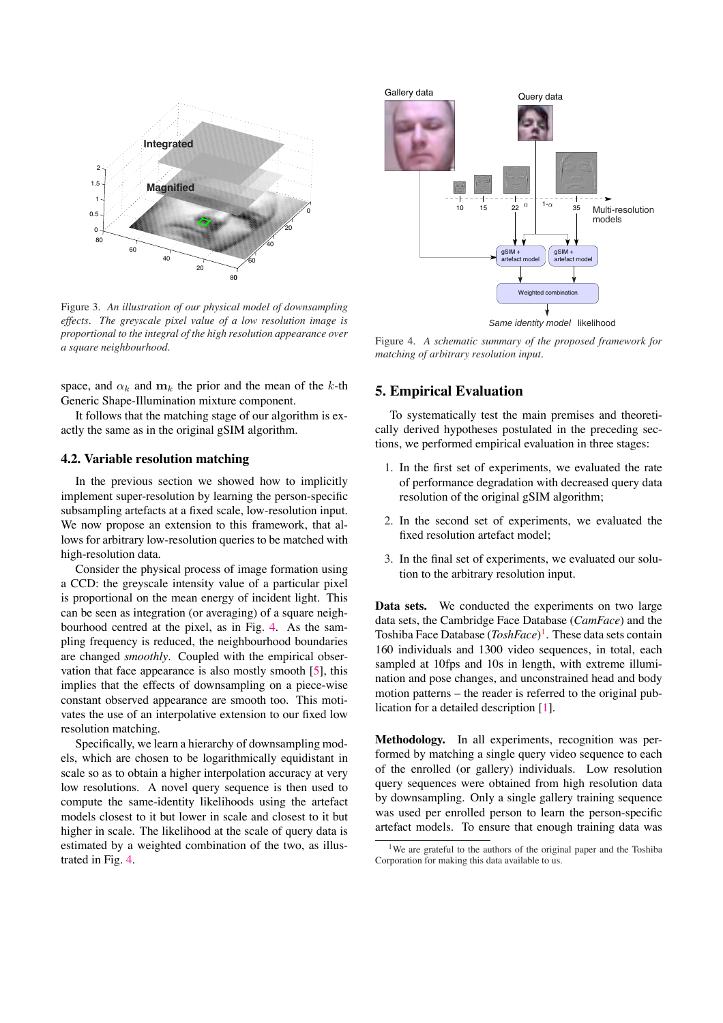<span id="page-4-2"></span>

Figure 3. *An illustration of our physical model of downsampling effects. The greyscale pixel value of a low resolution image is proportional to the integral of the high resolution appearance over a square neighbourhood.*

<span id="page-4-1"></span>space, and  $\alpha_k$  and  $m_k$  the prior and the mean of the k-th Generic Shape-Illumination mixture component.

<span id="page-4-0"></span>It follows that the matching stage of our algorithm is exactly the same as in the original gSIM algorithm.

## **4.2. Variable resolution matching**

In the previous section we showed how to implicitly implement super-resolution by learning the person-specific subsampling artefacts at a fixed scale, low-resolution input. We now propose an extension to this framework, that allows for arbitrary low-resolution queries to be matched with high-resolution data.

Consider the physical process of image formation using a CCD: the greyscale intensity value of a particular pixel is proportional on the mean energy of incident light. This can be seen as integration (or averaging) of a square neighbourhood centred at the pixel, as in Fig. 4. As the sampling frequency is reduced, the neighbourhood boundaries are changed *smoothly*. Coupled with the empirical observation that face appearance is also mostly smooth [\[5\]](#page-6-14), this implies that the effects of downsampling on a piece-wise constant observed appearance are smooth too. This motivates the use of an interpolative extension to our fixed low resolution matching.

Specifically, we learn a hierarchy of downsampling models, which are chosen to be logarithmically equidistant in scale so as to obtain a higher interpolation accuracy at very low resolutions. A novel query sequence is then used to compute the same-identity likelihoods using the artefact models closest to it but lower in scale and closest to it but higher in scale. The likelihood at the scale of query data is estimated by a weighted combination of the two, as illustrated in Fig. 4.



Figure 4. *A schematic summary of the proposed framework for matching of arbitrary resolution input.*

# **5. Empirical Evaluation**

To systematically test the main premises and theoretically derived hypotheses postulated in the preceding sections, we performed empirical evaluation in three stages:

- 1. In the first set of experiments, we evaluated the rate of performance degradation with decreased query data resolution of the original gSIM algorithm;
- 2. In the second set of experiments, we evaluated the fixed resolution artefact model;
- 3. In the final set of experiments, we evaluated our solution to the arbitrary resolution input.

**Data sets.** We conducted the experiments on two large data sets, the Cambridge Face Database (*CamFace*) and the Toshiba Face Database (*ToshFace*) 1. These data sets contain 160 individuals and 1300 video sequences, in total, each sampled at 10fps and 10s in length, with extreme illumination and pose changes, and unconstrained head and body motion patterns – the reader is referred to the original publication for a detailed description [\[1\]](#page-6-2).

**Methodology.** In all experiments, recognition was performed by matching a single query video sequence to each of the enrolled (or gallery) individuals. Low resolution query sequences were obtained from high resolution data by downsampling. Only a single gallery training sequence was used per enrolled person to learn the person-specific artefact models. To ensure that enough training data was

<sup>&</sup>lt;sup>1</sup>We are grateful to the authors of the original paper and the Toshiba Corporation for making this data available to us.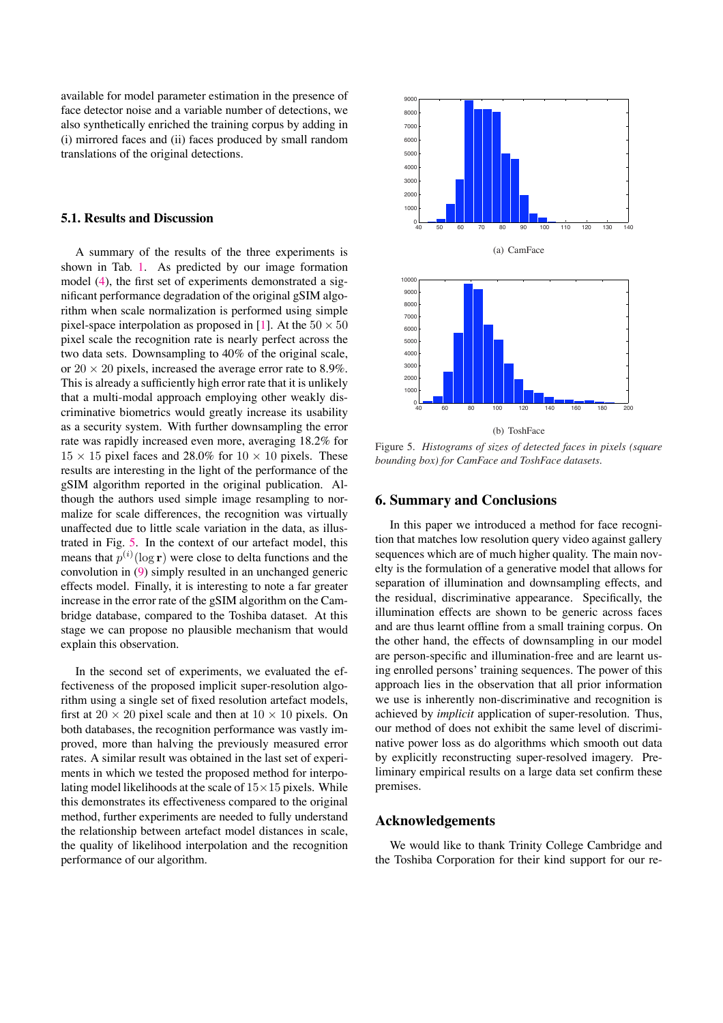<span id="page-5-2"></span>available for model parameter estimation in the presence of face detector noise and a variable number of detections, we also synthetically enriched the training corpus by adding in (i) mirrored faces and (ii) faces produced by small random translations of the original detections.

## <span id="page-5-0"></span>**5.1. Results and Discussion**

A summary of the results of the three experiments is shown in Tab. [1.](#page-6-15) As predicted by our image formation model [\(4\)](#page-2-3), the first set of experiments demonstrated a significant performance degradation of the original gSIM algorithm when scale normalization is performed using simple pixel-space interpolation as proposed in [\[1\]](#page-6-2). At the  $50 \times 50$ pixel scale the recognition rate is nearly perfect across the two data sets. Downsampling to 40% of the original scale, or  $20 \times 20$  pixels, increased the average error rate to 8.9%. This is already a sufficiently high error rate that it is unlikely that a multi-modal approach employing other weakly discriminative biometrics would greatly increase its usability as a security system. With further downsampling the error rate was rapidly increased even more, averaging 18.2% for  $15 \times 15$  pixel faces and 28.0% for  $10 \times 10$  pixels. These results are interesting in the light of the performance of the gSIM algorithm reported in the original publication. Although the authors used simple image resampling to normalize for scale differences, the recognition was virtually unaffected due to little scale variation in the data, as illustrated in Fig. 5. In the context of our artefact model, this means that  $p^{(i)}(\log r)$  were close to delta functions and the convolution in [\(9\)](#page-3-2) simply resulted in an unchanged generic effects model. Finally, it is interesting to note a far greater increase in the error rate of the gSIM algorithm on the Cambridge database, compared to the Toshiba dataset. At this stage we can propose no plausible mechanism that would explain this observation.

<span id="page-5-1"></span>In the second set of experiments, we evaluated the effectiveness of the proposed implicit super-resolution algorithm using a single set of fixed resolution artefact models, first at  $20 \times 20$  pixel scale and then at  $10 \times 10$  pixels. On both databases, the recognition performance was vastly improved, more than halving the previously measured error rates. A similar result was obtained in the last set of experiments in which we tested the proposed method for interpolating model likelihoods at the scale of  $15 \times 15$  pixels. While this demonstrates its effectiveness compared to the original method, further experiments are needed to fully understand the relationship between artefact model distances in scale, the quality of likelihood interpolation and the recognition performance of our algorithm.



Figure 5. *Histograms of sizes of detected faces in pixels (square bounding box) for CamFace and ToshFace datasets.*

## **6. Summary and Conclusions**

In this paper we introduced a method for face recognition that matches low resolution query video against gallery sequences which are of much higher quality. The main novelty is the formulation of a generative model that allows for separation of illumination and downsampling effects, and the residual, discriminative appearance. Specifically, the illumination effects are shown to be generic across faces and are thus learnt offline from a small training corpus. On the other hand, the effects of downsampling in our model are person-specific and illumination-free and are learnt using enrolled persons' training sequences. The power of this approach lies in the observation that all prior information we use is inherently non-discriminative and recognition is achieved by *implicit* application of super-resolution. Thus, our method of does not exhibit the same level of discriminative power loss as do algorithms which smooth out data by explicitly reconstructing super-resolved imagery. Preliminary empirical results on a large data set confirm these premises.

## **Acknowledgements**

We would like to thank Trinity College Cambridge and the Toshiba Corporation for their kind support for our re-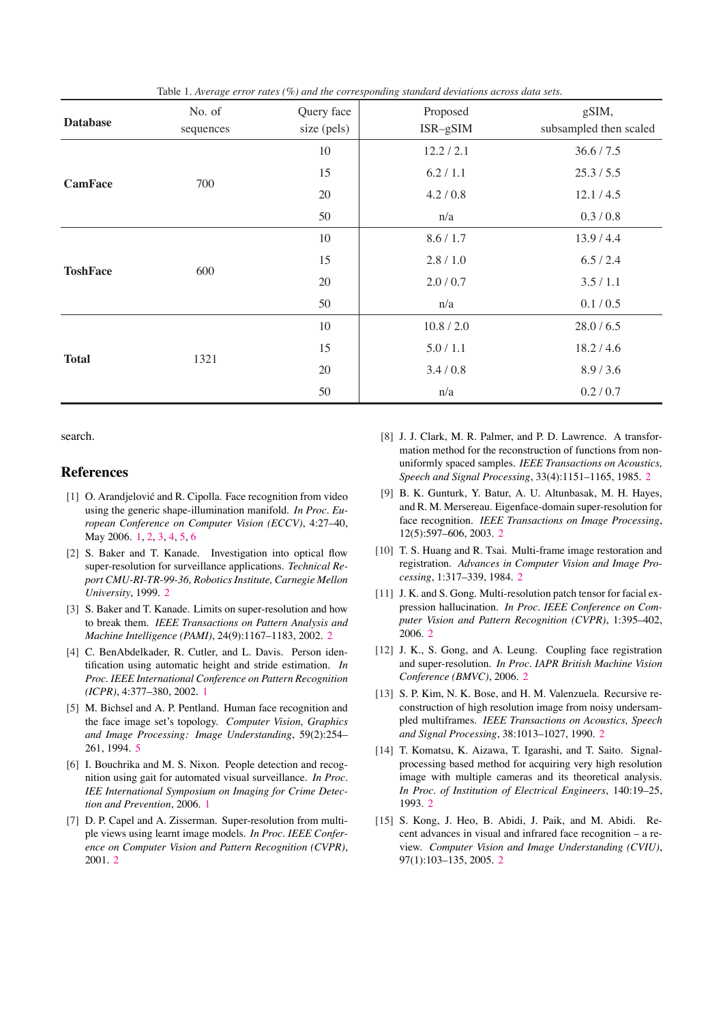<span id="page-6-15"></span>

| <b>Database</b> | No. of<br>sequences | Query face<br>size (pels) | Proposed<br>$ISR-gSIM$ | gSIM,<br>subsampled then scaled |
|-----------------|---------------------|---------------------------|------------------------|---------------------------------|
| <b>CamFace</b>  | 700                 | 10                        | 12.2 / 2.1             | 36.6 / 7.5                      |
|                 |                     | 15                        | 6.2 / 1.1              | 25.3 / 5.5                      |
|                 |                     | 20                        | 4.2 / 0.8              | 12.1 / 4.5                      |
|                 |                     | 50                        | n/a                    | 0.3 / 0.8                       |
| <b>ToshFace</b> | 600                 | 10                        | 8.6 / 1.7              | 13.9 / 4.4                      |
|                 |                     | 15                        | 2.8 / 1.0              | 6.5 / 2.4                       |
|                 |                     | 20                        | 2.0 / 0.7              | 3.5/1.1                         |
|                 |                     | 50                        | n/a                    | 0.1 / 0.5                       |
| <b>Total</b>    | 1321                | $10\,$                    | 10.8 / 2.0             | 28.0 / 6.5                      |
|                 |                     | 15                        | 5.0 / 1.1              | 18.2 / 4.6                      |
|                 |                     | 20                        | 3.4/0.8                | 8.9 / 3.6                       |
|                 |                     | 50                        | n/a                    | 0.2 / 0.7                       |

Table 1. *Average error rates (%) and the corresponding standard deviations across data sets.*

<span id="page-6-4"></span>search.

# <span id="page-6-8"></span><span id="page-6-2"></span>**References**

- <span id="page-6-13"></span><span id="page-6-12"></span>[1] O. Arandjelović and R. Cipolla. Face recognition from video using the generic shape-illumination manifold. *In Proc. European Conference on Computer Vision (ECCV)*, 4:27–40, May 2006. [1,](#page-0-0) [2,](#page-1-3) [3,](#page-2-4) [4,](#page-3-3) [5,](#page-4-2) [6](#page-5-2)
- <span id="page-6-11"></span><span id="page-6-9"></span>[2] S. Baker and T. Kanade. Investigation into optical flow super-resolution for surveillance applications. *Technical Report CMU-RI-TR-99-36, Robotics Institute, Carnegie Mellon University*, 1999. [2](#page-1-3)
- <span id="page-6-10"></span><span id="page-6-1"></span>[3] S. Baker and T. Kanade. Limits on super-resolution and how to break them. *IEEE Transactions on Pattern Analysis and Machine Intelligence (PAMI)*, 24(9):1167–1183, 2002. [2](#page-1-3)
- <span id="page-6-14"></span><span id="page-6-5"></span>[4] C. BenAbdelkader, R. Cutler, and L. Davis. Person identification using automatic height and stride estimation. *In Proc. IEEE International Conference on Pattern Recognition (ICPR)*, 4:377–380, 2002. [1](#page-0-0)
- <span id="page-6-6"></span><span id="page-6-0"></span>[5] M. Bichsel and A. P. Pentland. Human face recognition and the face image set's topology. *Computer Vision, Graphics and Image Processing: Image Understanding*, 59(2):254– 261, 1994. [5](#page-4-2)
- <span id="page-6-7"></span><span id="page-6-3"></span>[6] I. Bouchrika and M. S. Nixon. People detection and recognition using gait for automated visual surveillance. *In Proc. IEE International Symposium on Imaging for Crime Detection and Prevention*, 2006. [1](#page-0-0)
- [7] D. P. Capel and A. Zisserman. Super-resolution from multiple views using learnt image models. *In Proc. IEEE Conference on Computer Vision and Pattern Recognition (CVPR)*, 2001. [2](#page-1-3)
- [8] J. J. Clark, M. R. Palmer, and P. D. Lawrence. A transformation method for the reconstruction of functions from nonuniformly spaced samples. *IEEE Transactions on Acoustics, Speech and Signal Processing*, 33(4):1151–1165, 1985. [2](#page-1-3)
- [9] B. K. Gunturk, Y. Batur, A. U. Altunbasak, M. H. Hayes, and R. M. Mersereau. Eigenface-domain super-resolution for face recognition. *IEEE Transactions on Image Processing*, 12(5):597–606, 2003. [2](#page-1-3)
- [10] T. S. Huang and R. Tsai. Multi-frame image restoration and registration. *Advances in Computer Vision and Image Processing*, 1:317–339, 1984. [2](#page-1-3)
- [11] J. K. and S. Gong. Multi-resolution patch tensor for facial expression hallucination. *In Proc. IEEE Conference on Computer Vision and Pattern Recognition (CVPR)*, 1:395–402, 2006. [2](#page-1-3)
- [12] J. K., S. Gong, and A. Leung. Coupling face registration and super-resolution. *In Proc. IAPR British Machine Vision Conference (BMVC)*, 2006. [2](#page-1-3)
- [13] S. P. Kim, N. K. Bose, and H. M. Valenzuela. Recursive reconstruction of high resolution image from noisy undersampled multiframes. *IEEE Transactions on Acoustics, Speech and Signal Processing*, 38:1013–1027, 1990. [2](#page-1-3)
- [14] T. Komatsu, K. Aizawa, T. Igarashi, and T. Saito. Signalprocessing based method for acquiring very high resolution image with multiple cameras and its theoretical analysis. *In Proc. of Institution of Electrical Engineers*, 140:19–25, 1993. [2](#page-1-3)
- [15] S. Kong, J. Heo, B. Abidi, J. Paik, and M. Abidi. Recent advances in visual and infrared face recognition – a review. *Computer Vision and Image Understanding (CVIU)*, 97(1):103–135, 2005. [2](#page-1-3)